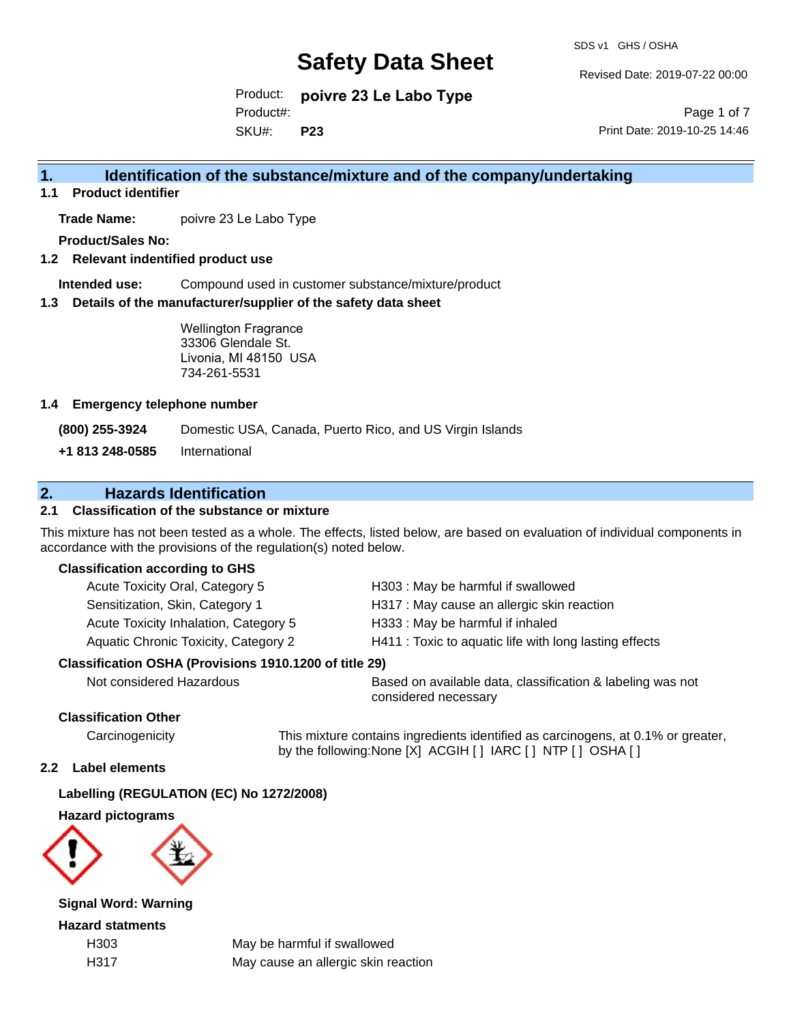SDS v1 GHS / OSHA

Revised Date: 2019-07-22 00:00

Product: **poivre 23 Le Labo Type** SKU#: Product#: **P23**

Page 1 of 7 Print Date: 2019-10-25 14:46

## **1. Identification of the substance/mixture and of the company/undertaking**

**1.1 Product identifier**

**Trade Name:** poivre 23 Le Labo Type

**Product/Sales No:**

**1.2 Relevant indentified product use**

**Intended use:** Compound used in customer substance/mixture/product

**1.3 Details of the manufacturer/supplier of the safety data sheet**

Wellington Fragrance 33306 Glendale St. Livonia, MI 48150 USA 734-261-5531

#### **1.4 Emergency telephone number**

**(800) 255-3924** Domestic USA, Canada, Puerto Rico, and US Virgin Islands

**+1 813 248-0585** International

## **2. Hazards Identification**

### **2.1 Classification of the substance or mixture**

This mixture has not been tested as a whole. The effects, listed below, are based on evaluation of individual components in accordance with the provisions of the regulation(s) noted below.

#### **Classification according to GHS**

| Acute Toxicity Oral, Category 5       | H303: May be harmful if swallowed                      |
|---------------------------------------|--------------------------------------------------------|
| Sensitization, Skin, Category 1       | H317 : May cause an allergic skin reaction             |
| Acute Toxicity Inhalation, Category 5 | H333: May be harmful if inhaled                        |
| Aquatic Chronic Toxicity, Category 2  | H411 : Toxic to aquatic life with long lasting effects |
|                                       |                                                        |

#### **Classification OSHA (Provisions 1910.1200 of title 29)**

Not considered Hazardous Based on available data, classification & labeling was not considered necessary

### **Classification Other**

Carcinogenicity This mixture contains ingredients identified as carcinogens, at 0.1% or greater, by the following:None [X] ACGIH [ ] IARC [ ] NTP [ ] OSHA [ ]

#### **2.2 Label elements**

#### **Labelling (REGULATION (EC) No 1272/2008)**

**Hazard pictograms**



**Signal Word: Warning**

**Hazard statments**

H303 May be harmful if swallowed H317 May cause an allergic skin reaction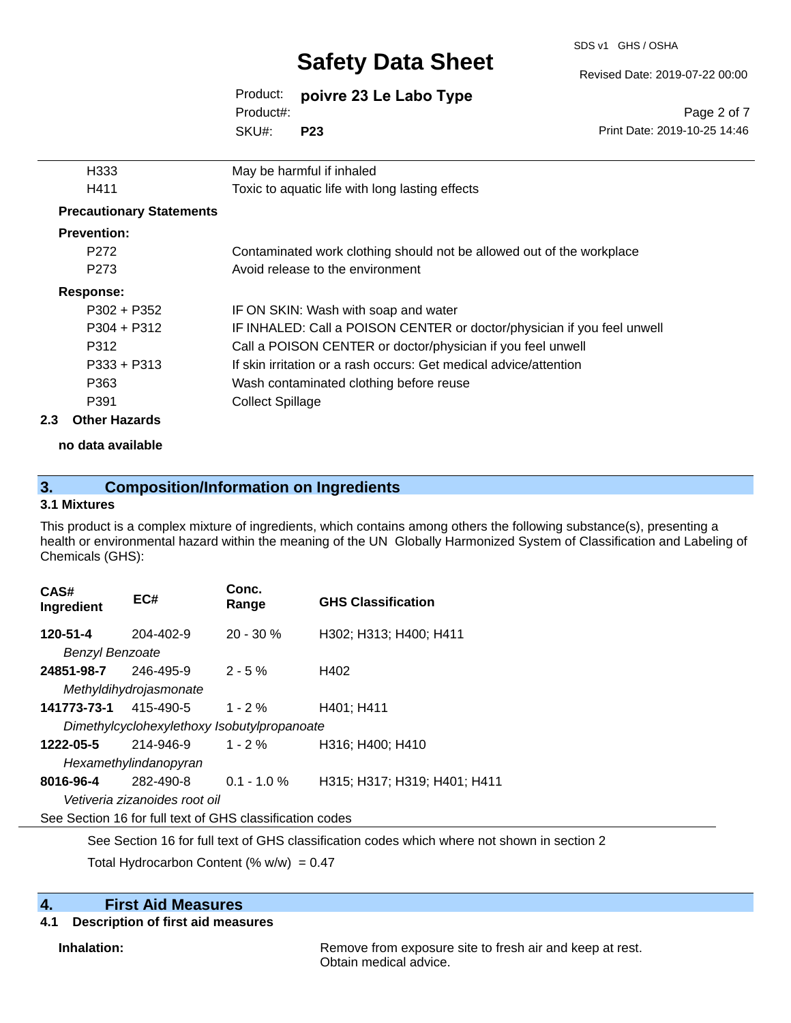SDS v1 GHS / OSHA

Revised Date: 2019-07-22 00:00

Print Date: 2019-10-25 14:46

Page 2 of 7

## Product: **poivre 23 Le Labo Type** Product#:

SKU#: **P23**

|     | H333                            | May be harmful if inhaled                                               |
|-----|---------------------------------|-------------------------------------------------------------------------|
|     | H411                            | Toxic to aquatic life with long lasting effects                         |
|     | <b>Precautionary Statements</b> |                                                                         |
|     | <b>Prevention:</b>              |                                                                         |
|     | P <sub>272</sub>                | Contaminated work clothing should not be allowed out of the workplace   |
|     | P <sub>273</sub>                | Avoid release to the environment                                        |
|     | <b>Response:</b>                |                                                                         |
|     | $P302 + P352$                   | IF ON SKIN: Wash with soap and water                                    |
|     | $P304 + P312$                   | IF INHALED: Call a POISON CENTER or doctor/physician if you feel unwell |
|     | P312                            | Call a POISON CENTER or doctor/physician if you feel unwell             |
|     | $P333 + P313$                   | If skin irritation or a rash occurs: Get medical advice/attention       |
|     | P363                            | Wash contaminated clothing before reuse                                 |
|     | P391                            | <b>Collect Spillage</b>                                                 |
| 2.3 | <b>Other Hazards</b>            |                                                                         |
|     |                                 |                                                                         |

**no data available**

## **3. Composition/Information on Ingredients**

### **3.1 Mixtures**

This product is a complex mixture of ingredients, which contains among others the following substance(s), presenting a health or environmental hazard within the meaning of the UN Globally Harmonized System of Classification and Labeling of Chemicals (GHS):

| CAS#<br>Ingredient                                       | EC#                           | Conc.<br>Range | <b>GHS Classification</b>    |  |  |
|----------------------------------------------------------|-------------------------------|----------------|------------------------------|--|--|
| 120-51-4                                                 | 204-402-9                     | $20 - 30 \%$   | H302; H313; H400; H411       |  |  |
| <b>Benzyl Benzoate</b>                                   |                               |                |                              |  |  |
| 24851-98-7                                               | 246-495-9                     | $2 - 5 \%$     | H402                         |  |  |
|                                                          | Methyldihydrojasmonate        |                |                              |  |  |
| 141773-73-1                                              | 415-490-5                     | $1 - 2 \%$     | H401: H411                   |  |  |
| Dimethylcyclohexylethoxy Isobutylpropanoate              |                               |                |                              |  |  |
| 1222-05-5                                                | 214-946-9                     | $1 - 2 \%$     | H316: H400: H410             |  |  |
| Hexamethylindanopyran                                    |                               |                |                              |  |  |
| 8016-96-4                                                | 282-490-8                     | $0.1 - 1.0 \%$ | H315; H317; H319; H401; H411 |  |  |
|                                                          | Vetiveria zizanoides root oil |                |                              |  |  |
| See Section 16 for full text of GHS classification codes |                               |                |                              |  |  |

See Section 16 for full text of GHS classification codes which where not shown in section 2

Total Hydrocarbon Content (%  $w/w$ ) = 0.47

### **4. First Aid Measures**

#### **4.1 Description of first aid measures**

**Inhalation:** Remove from exposure site to fresh air and keep at rest. Obtain medical advice.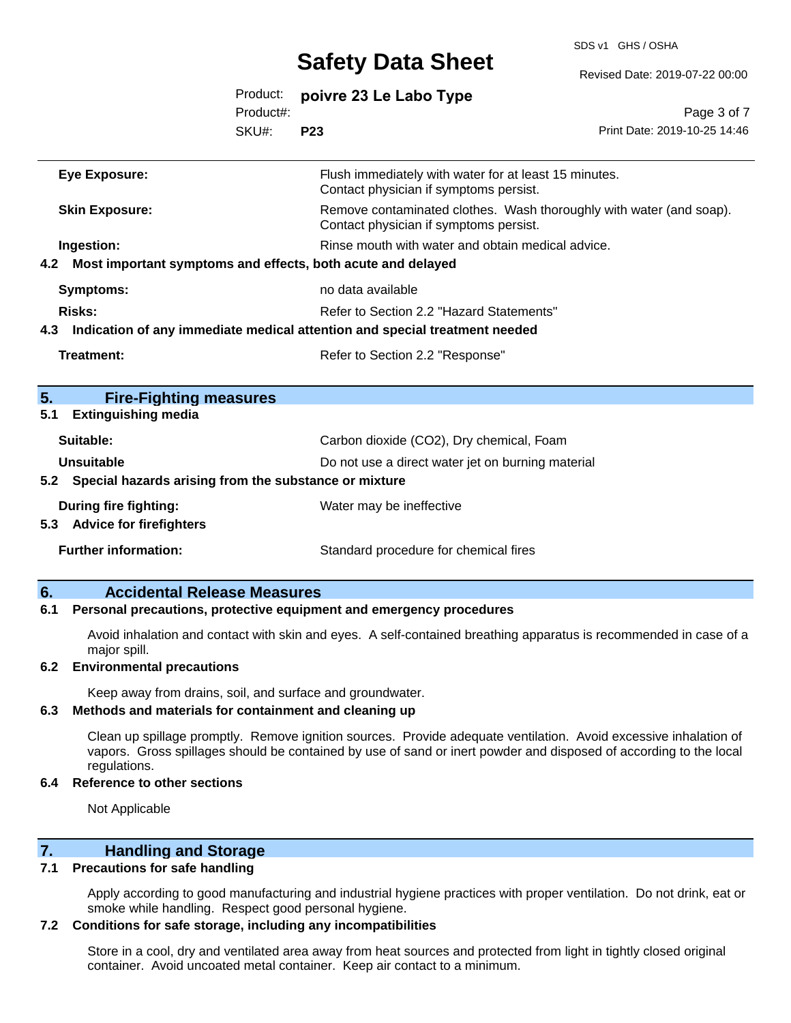SDS v1 GHS / OSHA

| Revised Date: 2019-07-22 00:0 |  |  |  |
|-------------------------------|--|--|--|
|                               |  |  |  |

|                                                                 |           | OUIVIY DULU VIIVVI                                                                                            | Revised Date: 2019-07-22 00:00 |
|-----------------------------------------------------------------|-----------|---------------------------------------------------------------------------------------------------------------|--------------------------------|
|                                                                 | Product:  | poivre 23 Le Labo Type                                                                                        |                                |
|                                                                 | Product#: |                                                                                                               | Page 3 of 7                    |
|                                                                 | SKU#:     | <b>P23</b>                                                                                                    | Print Date: 2019-10-25 14:46   |
| <b>Eye Exposure:</b>                                            |           | Flush immediately with water for at least 15 minutes.<br>Contact physician if symptoms persist.               |                                |
| <b>Skin Exposure:</b>                                           |           | Remove contaminated clothes. Wash thoroughly with water (and soap).<br>Contact physician if symptoms persist. |                                |
| Ingestion:                                                      |           | Rinse mouth with water and obtain medical advice.                                                             |                                |
| 4.2 Most important symptoms and effects, both acute and delayed |           |                                                                                                               |                                |
| <b>Symptoms:</b>                                                |           | no data available                                                                                             |                                |
| <b>Risks:</b>                                                   |           | Refer to Section 2.2 "Hazard Statements"                                                                      |                                |
|                                                                 |           | 4.3 Indication of any immediate medical attention and special treatment needed                                |                                |
| <b>Treatment:</b>                                               |           | Refer to Section 2.2 "Response"                                                                               |                                |
|                                                                 |           |                                                                                                               |                                |
| 5.<br><b>Fire-Fighting measures</b>                             |           |                                                                                                               |                                |
| 5.1<br><b>Extinguishing media</b>                               |           |                                                                                                               |                                |
| Suitable:                                                       |           | Carbon dioxide (CO2), Dry chemical, Foam                                                                      |                                |
| <b>Unsuitable</b>                                               |           | Do not use a direct water jet on burning material                                                             |                                |
| 5.2 Special hazards arising from the substance or mixture       |           |                                                                                                               |                                |
| During fire fighting:                                           |           | Water may be ineffective                                                                                      |                                |
| 5.3 Advice for firefighters                                     |           |                                                                                                               |                                |
| <b>Further information:</b>                                     |           | Standard procedure for chemical fires                                                                         |                                |
|                                                                 |           |                                                                                                               |                                |

### **6. Accidental Release Measures**

#### **6.1 Personal precautions, protective equipment and emergency procedures**

Avoid inhalation and contact with skin and eyes. A self-contained breathing apparatus is recommended in case of a major spill.

#### **6.2 Environmental precautions**

Keep away from drains, soil, and surface and groundwater.

#### **6.3 Methods and materials for containment and cleaning up**

Clean up spillage promptly. Remove ignition sources. Provide adequate ventilation. Avoid excessive inhalation of vapors. Gross spillages should be contained by use of sand or inert powder and disposed of according to the local regulations.

#### **6.4 Reference to other sections**

Not Applicable

## **7. Handling and Storage**

#### **7.1 Precautions for safe handling**

Apply according to good manufacturing and industrial hygiene practices with proper ventilation. Do not drink, eat or smoke while handling. Respect good personal hygiene.

#### **7.2 Conditions for safe storage, including any incompatibilities**

Store in a cool, dry and ventilated area away from heat sources and protected from light in tightly closed original container. Avoid uncoated metal container. Keep air contact to a minimum.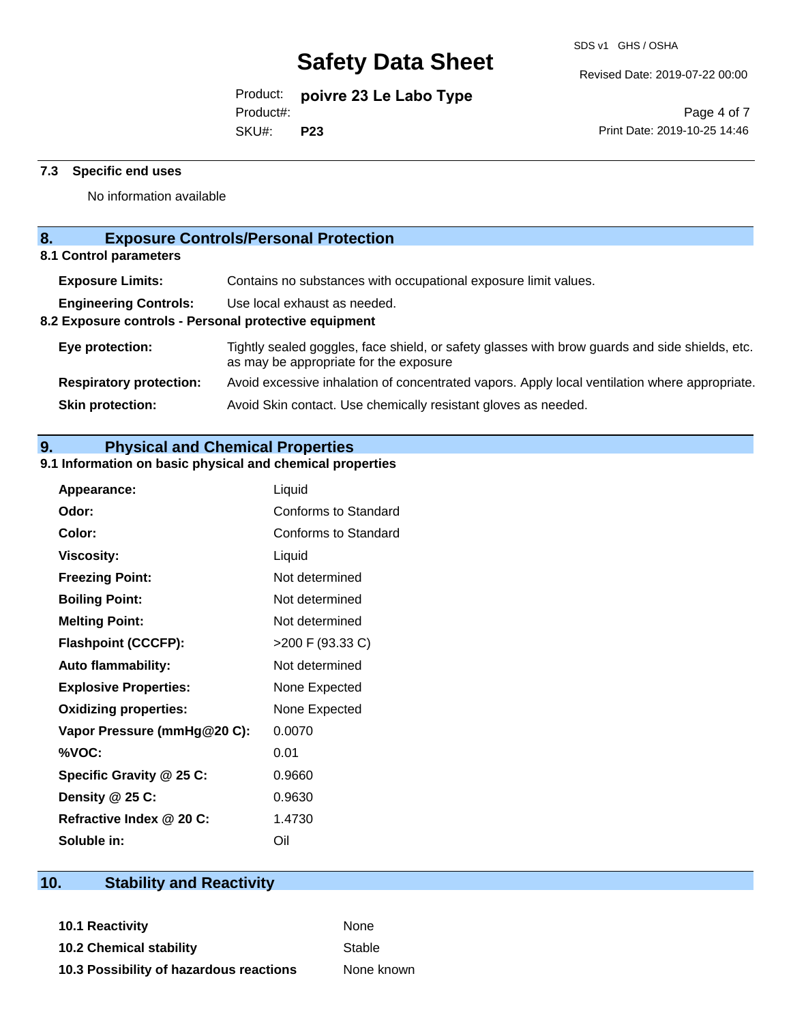Revised Date: 2019-07-22 00:00

Product: **poivre 23 Le Labo Type**

Product#:

SKU#: **P23**

Page 4 of 7 Print Date: 2019-10-25 14:46

#### **7.3 Specific end uses**

No information available

## **8. Exposure Controls/Personal Protection**

**8.1 Control parameters**

| <b>Exposure Limits:</b>                               | Contains no substances with occupational exposure limit values.                                                                          |  |  |  |
|-------------------------------------------------------|------------------------------------------------------------------------------------------------------------------------------------------|--|--|--|
| <b>Engineering Controls:</b>                          | Use local exhaust as needed.                                                                                                             |  |  |  |
| 8.2 Exposure controls - Personal protective equipment |                                                                                                                                          |  |  |  |
| Eye protection:                                       | Tightly sealed goggles, face shield, or safety glasses with brow guards and side shields, etc.<br>as may be appropriate for the exposure |  |  |  |
| <b>Respiratory protection:</b>                        | Avoid excessive inhalation of concentrated vapors. Apply local ventilation where appropriate.                                            |  |  |  |
| <b>Skin protection:</b>                               | Avoid Skin contact. Use chemically resistant gloves as needed.                                                                           |  |  |  |
|                                                       |                                                                                                                                          |  |  |  |

## **9. Physical and Chemical Properties**

### **9.1 Information on basic physical and chemical properties**

| Appearance:                  | Liquid               |
|------------------------------|----------------------|
| Odor:                        | Conforms to Standard |
| Color:                       | Conforms to Standard |
| <b>Viscosity:</b>            | Liquid               |
| <b>Freezing Point:</b>       | Not determined       |
| <b>Boiling Point:</b>        | Not determined       |
| <b>Melting Point:</b>        | Not determined       |
| <b>Flashpoint (CCCFP):</b>   | >200 F (93.33 C)     |
| <b>Auto flammability:</b>    | Not determined       |
| <b>Explosive Properties:</b> | None Expected        |
| <b>Oxidizing properties:</b> | None Expected        |
| Vapor Pressure (mmHg@20 C):  | 0.0070               |
| %VOC:                        | 0.01                 |
| Specific Gravity @ 25 C:     | 0.9660               |
| Density @ 25 C:              | 0.9630               |
| Refractive Index @ 20 C:     | 1.4730               |
| Soluble in:                  | Oil                  |

# **10. Stability and Reactivity**

**10.1 Reactivity** None **10.2 Chemical stability** Stable **10.3 Possibility of hazardous reactions** None known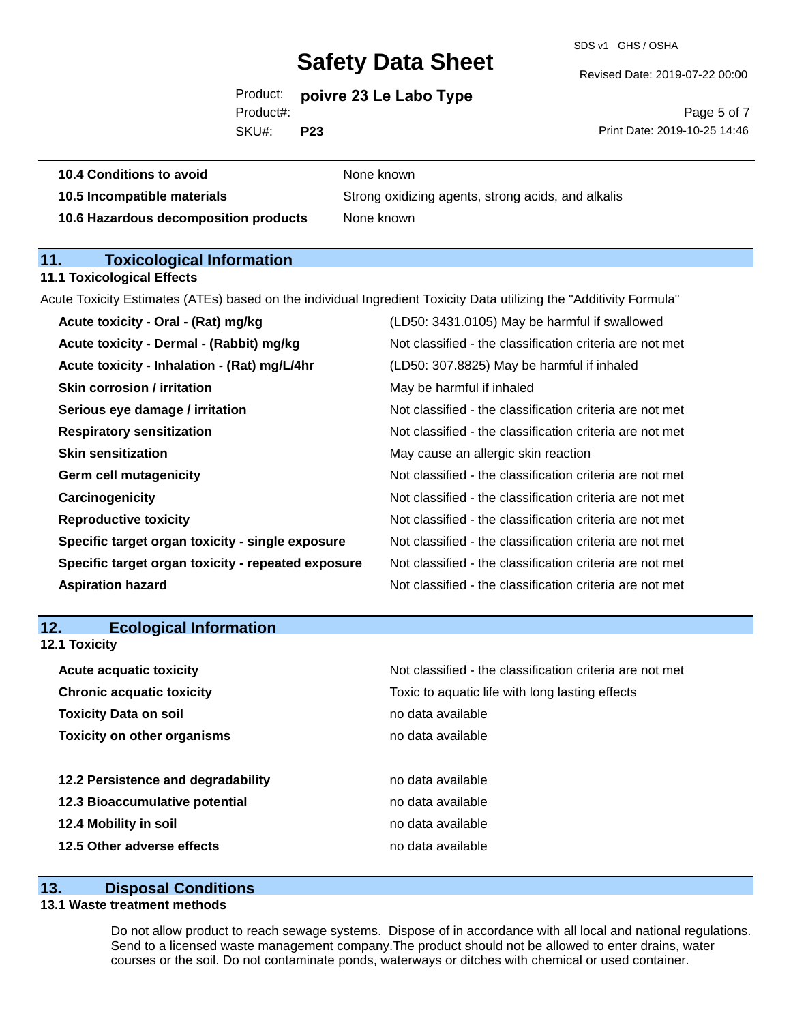SDS v1 GHS / OSHA

Revised Date: 2019-07-22 00:00

Product: **poivre 23 Le Labo Type** Product#:

SKU#: **P23**

Page 5 of 7 Print Date: 2019-10-25 14:46

| <b>10.4 Conditions to avoid</b> | None known |
|---------------------------------|------------|
|                                 |            |

**10.5 Incompatible materials** Strong oxidizing agents, strong acids, and alkalis **10.6 Hazardous decomposition products** None known

## **11. Toxicological Information**

#### **11.1 Toxicological Effects**

Acute Toxicity Estimates (ATEs) based on the individual Ingredient Toxicity Data utilizing the "Additivity Formula"

| Acute toxicity - Oral - (Rat) mg/kg                | (LD50: 3431.0105) May be harmful if swallowed            |
|----------------------------------------------------|----------------------------------------------------------|
| Acute toxicity - Dermal - (Rabbit) mg/kg           | Not classified - the classification criteria are not met |
| Acute toxicity - Inhalation - (Rat) mg/L/4hr       | (LD50: 307.8825) May be harmful if inhaled               |
| <b>Skin corrosion / irritation</b>                 | May be harmful if inhaled                                |
| Serious eye damage / irritation                    | Not classified - the classification criteria are not met |
| <b>Respiratory sensitization</b>                   | Not classified - the classification criteria are not met |
| <b>Skin sensitization</b>                          | May cause an allergic skin reaction                      |
| <b>Germ cell mutagenicity</b>                      | Not classified - the classification criteria are not met |
| Carcinogenicity                                    | Not classified - the classification criteria are not met |
| <b>Reproductive toxicity</b>                       | Not classified - the classification criteria are not met |
| Specific target organ toxicity - single exposure   | Not classified - the classification criteria are not met |
| Specific target organ toxicity - repeated exposure | Not classified - the classification criteria are not met |
| <b>Aspiration hazard</b>                           | Not classified - the classification criteria are not met |
|                                                    |                                                          |

## **12. Ecological Information**

**12.1 Toxicity**

| <b>Acute acquatic toxicity</b>     | Not classified - the classification criteria are not met |
|------------------------------------|----------------------------------------------------------|
| <b>Chronic acquatic toxicity</b>   | Toxic to aquatic life with long lasting effects          |
| <b>Toxicity Data on soil</b>       | no data available                                        |
| <b>Toxicity on other organisms</b> | no data available                                        |
|                                    |                                                          |
| 12.2 Persistence and degradability | no data available                                        |
| 12.3 Bioaccumulative potential     | no data available                                        |
| 12.4 Mobility in soil              | no data available                                        |
| 12.5 Other adverse effects         | no data available                                        |

### **13. Disposal Conditions**

### **13.1 Waste treatment methods**

Do not allow product to reach sewage systems. Dispose of in accordance with all local and national regulations. Send to a licensed waste management company.The product should not be allowed to enter drains, water courses or the soil. Do not contaminate ponds, waterways or ditches with chemical or used container.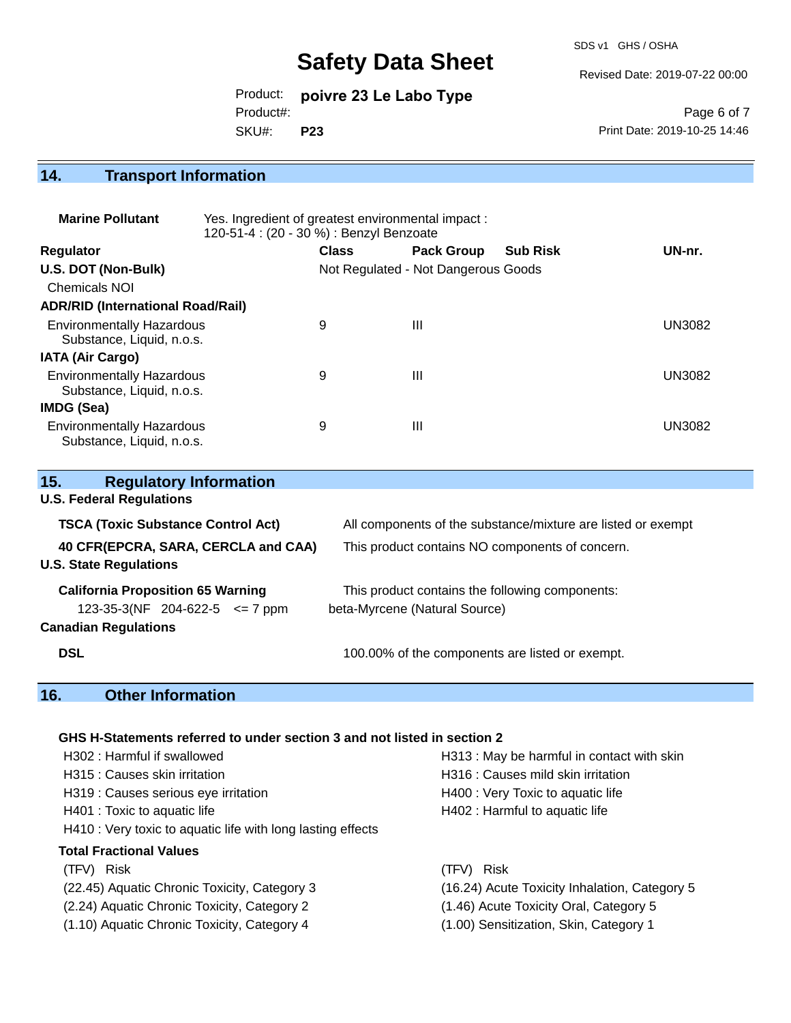SDS v1 GHS / OSHA

Revised Date: 2019-07-22 00:00

Product: **poivre 23 Le Labo Type** SKU#: Product#: **P23**

Page 6 of 7 Print Date: 2019-10-25 14:46

# **14. Transport Information**

| <b>Marine Pollutant</b>                                       | Yes. Ingredient of greatest environmental impact:<br>120-51-4 : (20 - 30 %) : Benzyl Benzoate |              |                                     |                 |               |
|---------------------------------------------------------------|-----------------------------------------------------------------------------------------------|--------------|-------------------------------------|-----------------|---------------|
| <b>Regulator</b>                                              |                                                                                               | <b>Class</b> | <b>Pack Group</b>                   | <b>Sub Risk</b> | UN-nr.        |
| U.S. DOT (Non-Bulk)                                           |                                                                                               |              | Not Regulated - Not Dangerous Goods |                 |               |
| <b>Chemicals NOI</b>                                          |                                                                                               |              |                                     |                 |               |
| <b>ADR/RID (International Road/Rail)</b>                      |                                                                                               |              |                                     |                 |               |
| <b>Environmentally Hazardous</b><br>Substance, Liquid, n.o.s. |                                                                                               | 9            | Ш                                   |                 | <b>UN3082</b> |
| <b>IATA (Air Cargo)</b>                                       |                                                                                               |              |                                     |                 |               |
| <b>Environmentally Hazardous</b><br>Substance, Liquid, n.o.s. |                                                                                               | 9            | Ш                                   |                 | <b>UN3082</b> |
| IMDG (Sea)                                                    |                                                                                               |              |                                     |                 |               |
| <b>Environmentally Hazardous</b><br>Substance, Liquid, n.o.s. |                                                                                               | 9            | Ш                                   |                 | <b>UN3082</b> |

| <b>Regulatory Information</b><br>15.                                 |                                                              |
|----------------------------------------------------------------------|--------------------------------------------------------------|
| <b>U.S. Federal Regulations</b>                                      |                                                              |
| <b>TSCA (Toxic Substance Control Act)</b>                            | All components of the substance/mixture are listed or exempt |
| 40 CFR(EPCRA, SARA, CERCLA and CAA)<br><b>U.S. State Regulations</b> | This product contains NO components of concern.              |
| <b>California Proposition 65 Warning</b>                             | This product contains the following components:              |
| 123-35-3(NF 204-622-5 $\leq$ 7 ppm                                   | beta-Myrcene (Natural Source)                                |
| <b>Canadian Regulations</b>                                          |                                                              |
| <b>DSL</b>                                                           | 100.00% of the components are listed or exempt.              |

# **16. Other Information**

### **GHS H-Statements referred to under section 3 and not listed in section 2**

| H302: Harmful if swallowed                                  | H313 : May be harmful in contact with skin    |
|-------------------------------------------------------------|-----------------------------------------------|
| H315 : Causes skin irritation                               | H316 : Causes mild skin irritation            |
| H319 : Causes serious eye irritation                        | H400 : Very Toxic to aquatic life             |
| H401 : Toxic to aquatic life                                | H402 : Harmful to aquatic life                |
| H410 : Very toxic to aquatic life with long lasting effects |                                               |
| <b>Total Fractional Values</b>                              |                                               |
| (TFV) Risk                                                  | (TFV) Risk                                    |
| (22.45) Aquatic Chronic Toxicity, Category 3                | (16.24) Acute Toxicity Inhalation, Category 5 |
| (2.24) Aquatic Chronic Toxicity, Category 2                 | (1.46) Acute Toxicity Oral, Category 5        |
| (1.10) Aquatic Chronic Toxicity, Category 4                 | (1.00) Sensitization, Skin, Category 1        |